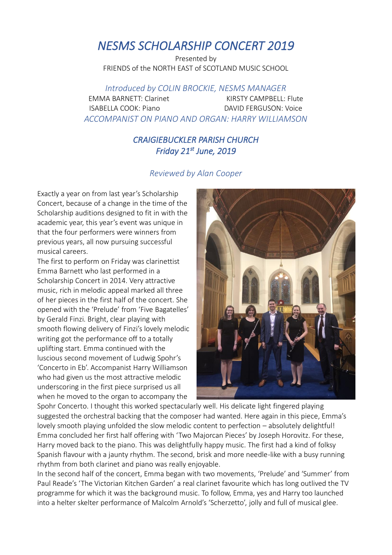## *NESMS SCHOLARSHIP CONCERT 2019*

Presented by FRIENDS of the NORTH EAST of SCOTLAND MUSIC SCHOOL

*Introduced by COLIN BROCKIE, NESMS MANAGER*

EMMA BARNETT: Clarinet KIRSTY CAMPBELL: Flute ISABELLA COOK: Piano DAVID FERGUSON: Voice *ACCOMPANIST ON PIANO AND ORGAN: HARRY WILLIAMSON*

## *CRAIGIEBUCKLER PARISH CHURCH Friday 21st June, 2019*

## *Reviewed by Alan Cooper*

Exactly a year on from last year's Scholarship Concert, because of a change in the time of the Scholarship auditions designed to fit in with the academic year, this year's event was unique in that the four performers were winners from previous years, all now pursuing successful musical careers.

The first to perform on Friday was clarinettist Emma Barnett who last performed in a Scholarship Concert in 2014. Very attractive music, rich in melodic appeal marked all three of her pieces in the first half of the concert. She opened with the 'Prelude' from 'Five Bagatelles' by Gerald Finzi. Bright, clear playing with smooth flowing delivery of Finzi's lovely melodic writing got the performance off to a totally uplifting start. Emma continued with the luscious second movement of Ludwig Spohr's 'Concerto in Eb'. Accompanist Harry Williamson who had given us the most attractive melodic underscoring in the first piece surprised us all when he moved to the organ to accompany the



Spohr Concerto. I thought this worked spectacularly well. His delicate light fingered playing suggested the orchestral backing that the composer had wanted. Here again in this piece, Emma's lovely smooth playing unfolded the slow melodic content to perfection – absolutely delightful! Emma concluded her first half offering with 'Two Majorcan Pieces' by Joseph Horovitz. For these, Harry moved back to the piano. This was delightfully happy music. The first had a kind of folksy Spanish flavour with a jaunty rhythm. The second, brisk and more needle-like with a busy running rhythm from both clarinet and piano was really enjoyable.

In the second half of the concert, Emma began with two movements, 'Prelude' and 'Summer' from Paul Reade's 'The Victorian Kitchen Garden' a real clarinet favourite which has long outlived the TV programme for which it was the background music. To follow, Emma, yes and Harry too launched into a helter skelter performance of Malcolm Arnold's 'Scherzetto', jolly and full of musical glee.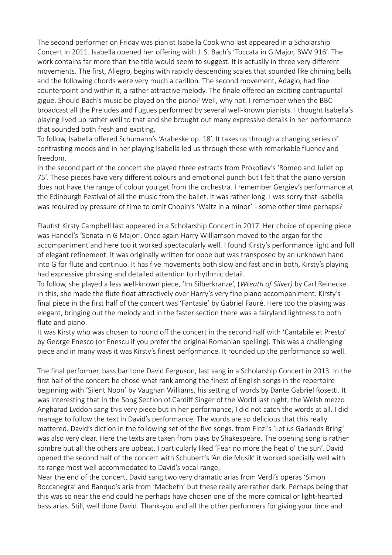The second performer on Friday was pianist Isabella Cook who last appeared in a Scholarship Concert in 2011. Isabella opened her offering with J. S. Bach's 'Toccata in G Major, BWV 916'. The work contains far more than the title would seem to suggest. It is actually in three very different movements. The first, Allegro, begins with rapidly descending scales that sounded like chiming bells and the following chords were very much a carillon. The second movement, Adagio, had fine counterpoint and within it, a rather attractive melody. The finale offered an exciting contrapuntal gigue. Should Bach's music be played on the piano? Well, why not. I remember when the BBC broadcast all the Preludes and Fugues performed by several well-known pianists. I thought Isabella's playing lived up rather well to that and she brought out many expressive details in her performance that sounded both fresh and exciting.

To follow, Isabella offered Schumann's 'Arabeske op. 18'. It takes us through a changing series of contrasting moods and in her playing Isabella led us through these with remarkable fluency and freedom.

In the second part of the concert she played three extracts from Prokofiev's 'Romeo and Juliet op 75'. These pieces have very different colours and emotional punch but I felt that the piano version does not have the range of colour you get from the orchestra. I remember Gergiev's performance at the Edinburgh Festival of all the music from the ballet. It was rather long. I was sorry that Isabella was required by pressure of time to omit Chopin's 'Waltz in a minor' - some other time perhaps?

Flautist Kirsty Campbell last appeared in a Scholarship Concert in 2017. Her choice of opening piece was Handel's 'Sonata in G Major'. Once again Harry Williamson moved to the organ for the accompaniment and here too it worked spectacularly well. I found Kirsty's performance light and full of elegant refinement. It was originally written for oboe but was transposed by an unknown hand into G for flute and continuo. It has five movements both slow and fast and in both, Kirsty's playing had expressive phrasing and detailed attention to rhythmic detail.

To follow, she played a less well-known piece, 'Im Silberkranze', (*Wreath of Silver)* by Carl Reinecke. In this, she made the flute float attractively over Harry's very fine piano accompaniment. Kirsty's final piece in the first half of the concert was 'Fantasie' by Gabriel Fauré. Here too the playing was elegant, bringing out the melody and in the faster section there was a fairyland lightness to both flute and piano.

It was Kirsty who was chosen to round off the concert in the second half with 'Cantabile et Presto' by George Enesco (or Enescu if you prefer the original Romanian spelling). This was a challenging piece and in many ways it was Kirsty's finest performance. It rounded up the performance so well.

The final performer, bass baritone David Ferguson, last sang in a Scholarship Concert in 2013. In the first half of the concert he chose what rank among the finest of English songs in the repertoire beginning with 'Silent Noon' by Vaughan Williams, his setting of words by Dante Gabriel Rosetti. It was interesting that in the Song Section of Cardiff Singer of the World last night, the Welsh mezzo Angharad Lyddon sang this very piece but in her performance, I did not catch the words at all. I did manage to follow the text in David's performance. The words are so delicious that this really mattered. David's diction in the following set of the five songs. from Finzi's 'Let us Garlands Bring' was also very clear. Here the texts are taken from plays by Shakespeare. The opening song is rather sombre but all the others are upbeat. I particularly liked 'Fear no more the heat o' the sun'. David opened the second half of the concert with Schubert's 'An die Musik' it worked specially well with its range most well accommodated to David's vocal range.

Near the end of the concert, David sang two very dramatic arias from Verdi's operas 'Simon Boccanegra' and Banquo's aria from 'Macbeth' but these really are rather dark. Perhaps being that this was so near the end could he perhaps have chosen one of the more comical or light-hearted bass arias. Still, well done David. Thank-you and all the other performers for giving your time and